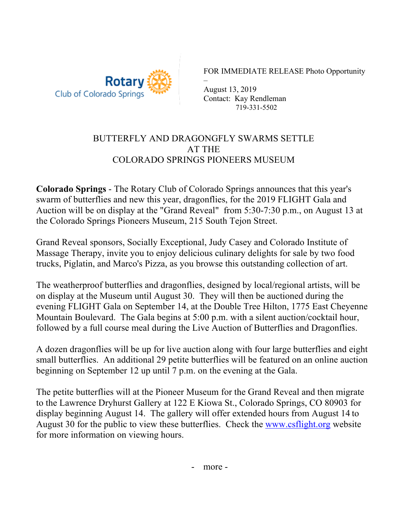

FOR IMMEDIATE RELEASE Photo Opportunity

– August 13, 2019 Contact: Kay Rendleman 719-331-5502

## BUTTERFLY AND DRAGONGFLY SWARMS SETTLE AT THE COLORADO SPRINGS PIONEERS MUSEUM

**Colorado Springs** - The Rotary Club of Colorado Springs announces that this year's swarm of butterflies and new this year, dragonflies, for the 2019 FLIGHT Gala and Auction will be on display at the "Grand Reveal" from 5:30-7:30 p.m., on August 13 at the Colorado Springs Pioneers Museum, 215 South Tejon Street.

Grand Reveal sponsors, Socially Exceptional, Judy Casey and Colorado Institute of Massage Therapy, invite you to enjoy delicious culinary delights for sale by two food trucks, Piglatin, and Marco's Pizza, as you browse this outstanding collection of art.

The weatherproof butterflies and dragonflies, designed by local/regional artists, will be on display at the Museum until August 30. They will then be auctioned during the evening FLIGHT Gala on September 14, at the Double Tree Hilton, 1775 East Cheyenne Mountain Boulevard. The Gala begins at 5:00 p.m. with a silent auction/cocktail hour, followed by a full course meal during the Live Auction of Butterflies and Dragonflies.

A dozen dragonflies will be up for live auction along with four large butterflies and eight small butterflies. An additional 29 petite butterflies will be featured on an online auction beginning on September 12 up until 7 p.m. on the evening at the Gala.

The petite butterflies will at the Pioneer Museum for the Grand Reveal and then migrate to the Lawrence Dryhurst Gallery at 122 E Kiowa St., Colorado Springs, CO 80903 for display beginning August 14. The gallery will offer extended hours from August 14 to August 30 for the public to view these butterflies. Check the www.csflight.org website for more information on viewing hours.

- more -